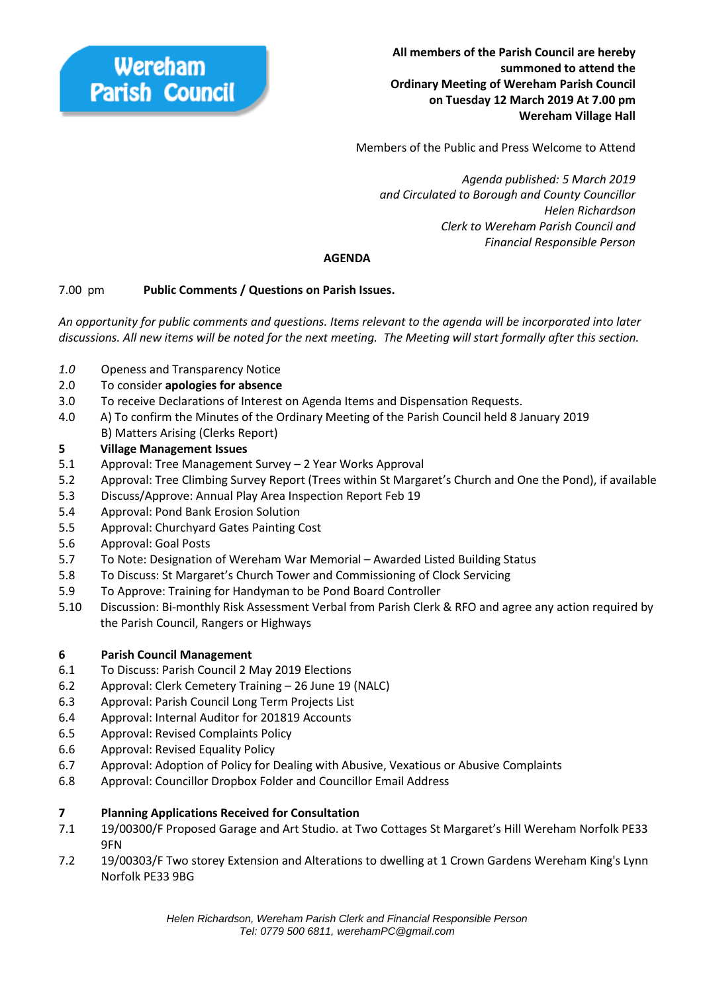Members of the Public and Press Welcome to Attend

 *Agenda published: 5 March 2019 and Circulated to Borough and County Councillor Helen Richardson Clerk to Wereham Parish Council and Financial Responsible Person*

# **AGENDA**

# 7.00 pm **Public Comments / Questions on Parish Issues.**

*An opportunity for public comments and questions. Items relevant to the agenda will be incorporated into later discussions. All new items will be noted for the next meeting. The Meeting will start formally after this section.*

- *1.0* Openess and Transparency Notice
- 2.0 To consider **apologies for absence**
- 3.0 To receive Declarations of Interest on Agenda Items and Dispensation Requests.
- 4.0 A) To confirm the Minutes of the Ordinary Meeting of the Parish Council held 8 January 2019 B) Matters Arising (Clerks Report)

## **5 Village Management Issues**

- 5.1 Approval: Tree Management Survey 2 Year Works Approval
- 5.2 Approval: Tree Climbing Survey Report (Trees within St Margaret's Church and One the Pond), if available
- 5.3 Discuss/Approve: Annual Play Area Inspection Report Feb 19
- 5.4 Approval: Pond Bank Erosion Solution
- 5.5 Approval: Churchyard Gates Painting Cost
- 5.6 Approval: Goal Posts
- 5.7 To Note: Designation of Wereham War Memorial Awarded Listed Building Status
- 5.8 To Discuss: St Margaret's Church Tower and Commissioning of Clock Servicing
- 5.9 To Approve: Training for Handyman to be Pond Board Controller
- 5.10 Discussion: Bi-monthly Risk Assessment Verbal from Parish Clerk & RFO and agree any action required by the Parish Council, Rangers or Highways

## **6 Parish Council Management**

- 6.1 To Discuss: Parish Council 2 May 2019 Elections
- 6.2 Approval: Clerk Cemetery Training 26 June 19 (NALC)
- 6.3 Approval: Parish Council Long Term Projects List
- 6.4 Approval: Internal Auditor for 201819 Accounts
- 6.5 Approval: Revised Complaints Policy
- 6.6 Approval: Revised Equality Policy
- 6.7 Approval: Adoption of Policy for Dealing with Abusive, Vexatious or Abusive Complaints
- 6.8 Approval: Councillor Dropbox Folder and Councillor Email Address

## **7 Planning Applications Received for Consultation**

- 7.1 19/00300/F Proposed Garage and Art Studio. at Two Cottages St Margaret's Hill Wereham Norfolk PE33 9FN
- 7.2 19/00303/F Two storey Extension and Alterations to dwelling at 1 Crown Gardens Wereham King's Lynn Norfolk PE33 9BG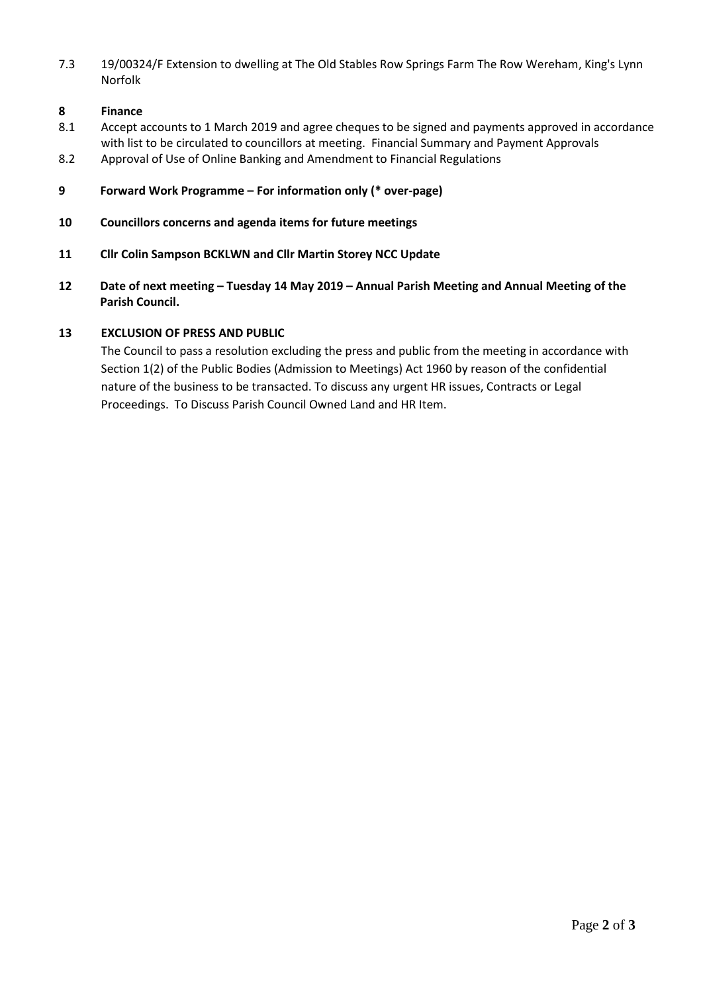7.3 19/00324/F Extension to dwelling at The Old Stables Row Springs Farm The Row Wereham, King's Lynn Norfolk

### **8 Finance**

- 8.1 Accept accounts to 1 March 2019 and agree cheques to be signed and payments approved in accordance with list to be circulated to councillors at meeting. Financial Summary and Payment Approvals
- 8.2 Approval of Use of Online Banking and Amendment to Financial Regulations
- **9 Forward Work Programme – For information only (\* over-page)**
- **10 Councillors concerns and agenda items for future meetings**
- **11 Cllr Colin Sampson BCKLWN and Cllr Martin Storey NCC Update**
- **12 Date of next meeting – Tuesday 14 May 2019 – Annual Parish Meeting and Annual Meeting of the Parish Council.**

### **13 EXCLUSION OF PRESS AND PUBLIC**

The Council to pass a resolution excluding the press and public from the meeting in accordance with Section 1(2) of the Public Bodies (Admission to Meetings) Act 1960 by reason of the confidential nature of the business to be transacted. To discuss any urgent HR issues, Contracts or Legal Proceedings. To Discuss Parish Council Owned Land and HR Item.